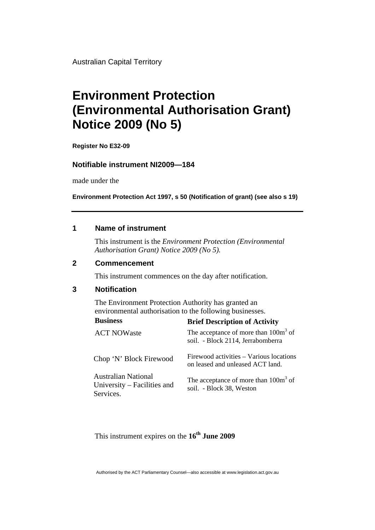Australian Capital Territory

# **Environment Protection (Environmental Authorisation Grant) Notice 2009 (No 5)**

**Register No E32-09** 

#### **Notifiable instrument NI2009—184**

made under the

**Environment Protection Act 1997, s 50 (Notification of grant) (see also s 19)** 

#### **1 Name of instrument**

This instrument is the *Environment Protection (Environmental Authorisation Grant) Notice 2009 (No 5).* 

#### **2 Commencement**

This instrument commences on the day after notification.

#### **3 Notification**

The Environment Protection Authority has granted an environmental authorisation to the following businesses.

| <b>Business</b>                                                        | <b>Brief Description of Activity</b>                                        |
|------------------------------------------------------------------------|-----------------------------------------------------------------------------|
| <b>ACT NOWaste</b>                                                     | The acceptance of more than $100m3$ of<br>soil. - Block 2114, Jerrabomberra |
| Chop 'N' Block Firewood                                                | Firewood activities – Various locations<br>on leased and unleased ACT land. |
| <b>Australian National</b><br>University – Facilities and<br>Services. | The acceptance of more than $100m3$ of<br>soil. - Block 38, Weston          |

This instrument expires on the 16<sup>th</sup> June 2009

Authorised by the ACT Parliamentary Counsel—also accessible at www.legislation.act.gov.au